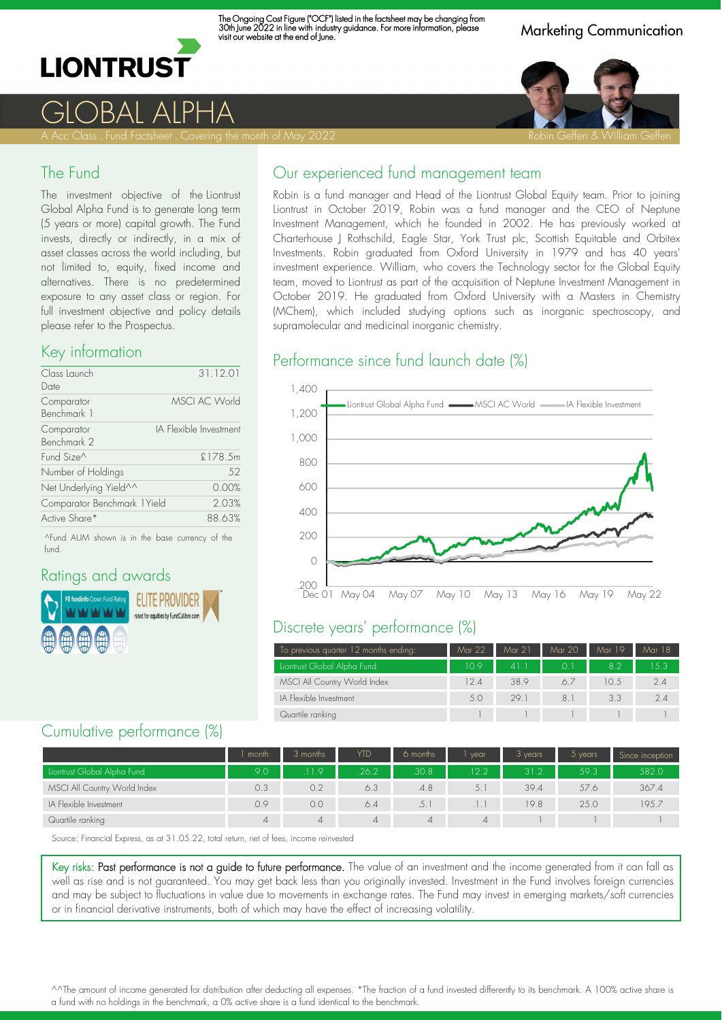

The Ongoing Cost Figure ("OCF") listed in the factsheet may be changing from 30th June 2022 in line with industry guidance. For more information, please visit our website at the end of June.

Marketing Communication



GLOBAL ALPHA

#### The Fund

The investment objective of the Liontrust Global Alpha Fund is to generate long term (5 years or more) capital growth. The Fund invests, directly or indirectly, in a mix of asset classes across the world including, but not limited to, equity, fixed income and alternatives. There is no predetermined exposure to any asset class or region. For full investment objective and policy details please refer to the Prospectus.

#### Key information

| 31.12.01                              |
|---------------------------------------|
|                                       |
| <b>MSCI AC World</b>                  |
|                                       |
| IA Flexible Investment                |
|                                       |
| £178.5m                               |
| 52                                    |
| 0.00%                                 |
| Comparator Benchmark 1 Yield<br>2.03% |
| 88.63%                                |
|                                       |

^Fund AUM shown is in the base currency of the fund.

### Ratings and awards



### Our experienced fund management team

Robin is a fund manager and Head of the Liontrust Global Equity team. Prior to joining Liontrust in October 2019, Robin was a fund manager and the CEO of Neptune Investment Management, which he founded in 2002. He has previously worked at Charterhouse J Rothschild, Eagle Star, York Trust plc, Scottish Equitable and Orbitex Investments. Robin graduated from Oxford University in 1979 and has 40 years' investment experience. William, who covers the Technology sector for the Global Equity team, moved to Liontrust as part of the acquisition of Neptune Investment Management in October 2019. He graduated from Oxford University with a Masters in Chemistry (MChem), which included studying options such as inorganic spectroscopy, and supramolecular and medicinal inorganic chemistry.

#### Performance since fund launch date (%)



#### Discrete years' performance (%)

| To previous quarter 12 months ending: | Mar 22 | Mar 21 | Mar 20 | Mar 19 | Mar 18 |
|---------------------------------------|--------|--------|--------|--------|--------|
| Liontrust Global Alpha Fund           | 109    | 41     | .O. I  | 82     | 1.5.3  |
| MSCI All Country World Index          | 12.4   | 38.9   | 67     | 10.5   | 2.4    |
| IA Flexible Investment                | 5.0    | 29.1   | .8.1   | 3.3    | 24     |
| Quartile ranking                      |        |        |        |        |        |

### Cumulative performance (%)

|                              | month | 3 months | <b>YTD</b> | 6 months | vear | 3 years | $5$ years | Since inception |
|------------------------------|-------|----------|------------|----------|------|---------|-----------|-----------------|
| Liontrust Global Alpha Fund  | 90    | 119      | .26.2      | 30.8     | 12.2 | 31.2    | 59.3      | 582.0           |
| MSCI All Country World Index | .0.3  | 0.2      | 6.3        | .4.8     | 5.1  | 39.4    | 57.6      | 367.4           |
| IA Flexible Investment       | .0.9  | 0.0      | .6.4       |          |      | 19.8    | 25.0      | 195.7           |
| Quartile ranking             |       | 4        |            | 4        | 4    |         |           |                 |

Source: Financial Express, as at 31.05.22, total return, net of fees, income reinvested

Key risks: Past performance is not a guide to future performance. The value of an investment and the income generated from it can fall as well as rise and is not guaranteed. You may get back less than you originally invested. Investment in the Fund involves foreign currencies and may be subject to fluctuations in value due to movements in exchange rates. The Fund may invest in emerging markets/soft currencies or in financial derivative instruments, both of which may have the effect of increasing volatility.

^^The amount of income generated for distribution after deducting all expenses. \*The fraction of a fund invested differently to its benchmark. A 100% active share is a fund with no holdings in the benchmark, a 0% active share is a fund identical to the benchmark.